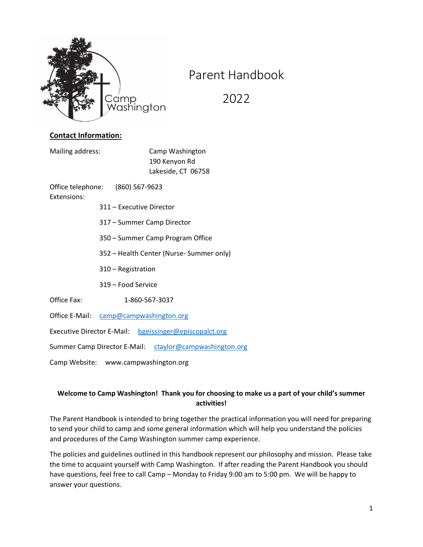

# Parent Handbook

2022

# **Contact Information:**

Mailing address: Camp Washington

190 Kenyon Rd Lakeside, CT 06758

Office telephone: (860) 567-9623 Extensions:

- 311 Executive Director
- 317 Summer Camp Director
- 350 Summer Camp Program Office
- 352 Health Center (Nurse- Summer only)
- 310 Registration
- 319 Food Service

Office Fax: 1-860-567-3037

Office E-Mail: camp@campwashington.org

Executive Director E-Mail: bgeissinger@episcopalct.org

Summer Camp Director E-Mail: ctaylor@campwashington.org

Camp Website: www.campwashington.org

# **Welcome to Camp Washington! Thank you for choosing to make us a part of your child's summer activities!**

The Parent Handbook is intended to bring together the practical information you will need for preparing to send your child to camp and some general information which will help you understand the policies and procedures of the Camp Washington summer camp experience.

The policies and guidelines outlined in this handbook represent our philosophy and mission. Please take the time to acquaint yourself with Camp Washington. If after reading the Parent Handbook you should have questions, feel free to call Camp – Monday to Friday 9:00 am to 5:00 pm. We will be happy to answer your questions.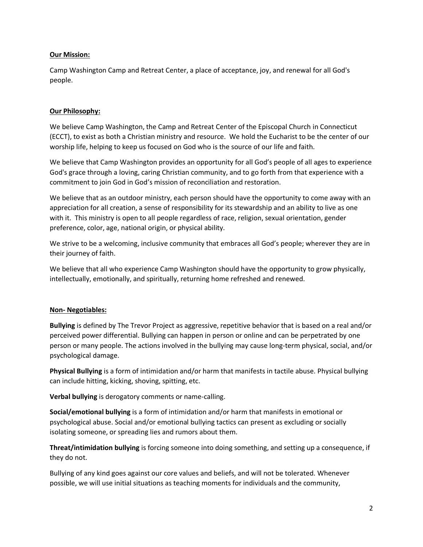## **Our Mission:**

Camp Washington Camp and Retreat Center, a place of acceptance, joy, and renewal for all God's people.

## **Our Philosophy:**

We believe Camp Washington, the Camp and Retreat Center of the Episcopal Church in Connecticut (ECCT), to exist as both a Christian ministry and resource. We hold the Eucharist to be the center of our worship life, helping to keep us focused on God who is the source of our life and faith.

We believe that Camp Washington provides an opportunity for all God's people of all ages to experience God's grace through a loving, caring Christian community, and to go forth from that experience with a commitment to join God in God's mission of reconciliation and restoration.

We believe that as an outdoor ministry, each person should have the opportunity to come away with an appreciation for all creation, a sense of responsibility for its stewardship and an ability to live as one with it. This ministry is open to all people regardless of race, religion, sexual orientation, gender preference, color, age, national origin, or physical ability.

We strive to be a welcoming, inclusive community that embraces all God's people; wherever they are in their journey of faith.

We believe that all who experience Camp Washington should have the opportunity to grow physically, intellectually, emotionally, and spiritually, returning home refreshed and renewed.

# **Non- Negotiables:**

**Bullying** is defined by The Trevor Project as aggressive, repetitive behavior that is based on a real and/or perceived power differential. Bullying can happen in person or online and can be perpetrated by one person or many people. The actions involved in the bullying may cause long-term physical, social, and/or psychological damage.

**Physical Bullying** is a form of intimidation and/or harm that manifests in tactile abuse. Physical bullying can include hitting, kicking, shoving, spitting, etc.

**Verbal bullying** is derogatory comments or name-calling.

**Social/emotional bullying** is a form of intimidation and/or harm that manifests in emotional or psychological abuse. Social and/or emotional bullying tactics can present as excluding or socially isolating someone, or spreading lies and rumors about them.

**Threat/intimidation bullying** is forcing someone into doing something, and setting up a consequence, if they do not.

Bullying of any kind goes against our core values and beliefs, and will not be tolerated. Whenever possible, we will use initial situations as teaching moments for individuals and the community,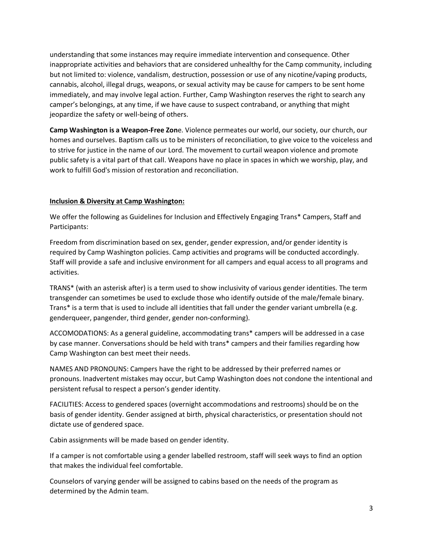understanding that some instances may require immediate intervention and consequence. Other inappropriate activities and behaviors that are considered unhealthy for the Camp community, including but not limited to: violence, vandalism, destruction, possession or use of any nicotine/vaping products, cannabis, alcohol, illegal drugs, weapons, or sexual activity may be cause for campers to be sent home immediately, and may involve legal action. Further, Camp Washington reserves the right to search any camper's belongings, at any time, if we have cause to suspect contraband, or anything that might jeopardize the safety or well-being of others.

**Camp Washington is a Weapon-Free Zon**e. Violence permeates our world, our society, our church, our homes and ourselves. Baptism calls us to be ministers of reconciliation, to give voice to the voiceless and to strive for justice in the name of our Lord. The movement to curtail weapon violence and promote public safety is a vital part of that call. Weapons have no place in spaces in which we worship, play, and work to fulfill God's mission of restoration and reconciliation.

# **Inclusion & Diversity at Camp Washington:**

We offer the following as Guidelines for Inclusion and Effectively Engaging Trans\* Campers, Staff and Participants:

Freedom from discrimination based on sex, gender, gender expression, and/or gender identity is required by Camp Washington policies. Camp activities and programs will be conducted accordingly. Staff will provide a safe and inclusive environment for all campers and equal access to all programs and activities.

TRANS\* (with an asterisk after) is a term used to show inclusivity of various gender identities. The term transgender can sometimes be used to exclude those who identify outside of the male/female binary. Trans\* is a term that is used to include all identities that fall under the gender variant umbrella (e.g. genderqueer, pangender, third gender, gender non-conforming).

ACCOMODATIONS: As a general guideline, accommodating trans\* campers will be addressed in a case by case manner. Conversations should be held with trans\* campers and their families regarding how Camp Washington can best meet their needs.

NAMES AND PRONOUNS: Campers have the right to be addressed by their preferred names or pronouns. Inadvertent mistakes may occur, but Camp Washington does not condone the intentional and persistent refusal to respect a person's gender identity.

FACILITIES: Access to gendered spaces (overnight accommodations and restrooms) should be on the basis of gender identity. Gender assigned at birth, physical characteristics, or presentation should not dictate use of gendered space.

Cabin assignments will be made based on gender identity.

If a camper is not comfortable using a gender labelled restroom, staff will seek ways to find an option that makes the individual feel comfortable.

Counselors of varying gender will be assigned to cabins based on the needs of the program as determined by the Admin team.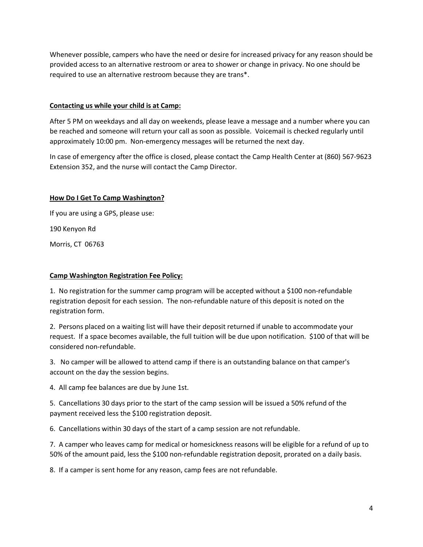Whenever possible, campers who have the need or desire for increased privacy for any reason should be provided access to an alternative restroom or area to shower or change in privacy. No one should be required to use an alternative restroom because they are trans\*.

## **Contacting us while your child is at Camp:**

After 5 PM on weekdays and all day on weekends, please leave a message and a number where you can be reached and someone will return your call as soon as possible. Voicemail is checked regularly until approximately 10:00 pm. Non-emergency messages will be returned the next day.

In case of emergency after the office is closed, please contact the Camp Health Center at (860) 567-9623 Extension 352, and the nurse will contact the Camp Director.

## **How Do I Get To Camp Washington?**

If you are using a GPS, please use: 190 Kenyon Rd Morris, CT 06763

### **Camp Washington Registration Fee Policy:**

1. No registration for the summer camp program will be accepted without a \$100 non-refundable registration deposit for each session. The non-refundable nature of this deposit is noted on the registration form.

2. Persons placed on a waiting list will have their deposit returned if unable to accommodate your request. If a space becomes available, the full tuition will be due upon notification. \$100 of that will be considered non-refundable.

3. No camper will be allowed to attend camp if there is an outstanding balance on that camper's account on the day the session begins.

4. All camp fee balances are due by June 1st.

5. Cancellations 30 days prior to the start of the camp session will be issued a 50% refund of the payment received less the \$100 registration deposit.

6. Cancellations within 30 days of the start of a camp session are not refundable.

7. A camper who leaves camp for medical or homesickness reasons will be eligible for a refund of up to 50% of the amount paid, less the \$100 non-refundable registration deposit, prorated on a daily basis.

8. If a camper is sent home for any reason, camp fees are not refundable.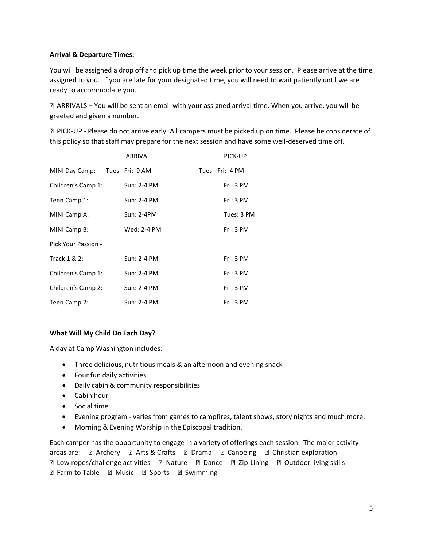# **Arrival & Departure Times:**

You will be assigned a drop off and pick up time the week prior to your session. Please arrive at the time assigned to you. If you are late for your designated time, you will need to wait patiently until we are ready to accommodate you.

 ARRIVALS – You will be sent an email with your assigned arrival time. When you arrive, you will be greeted and given a number.

 PICK-UP - Please do not arrive early. All campers must be picked up on time. Please be considerate of this policy so that staff may prepare for the next session and have some well-deserved time off.

|                     | ARRIVAL          | PICK-UP          |
|---------------------|------------------|------------------|
| MINI Day Camp:      | Tues - Fri: 9 AM | Tues - Fri: 4 PM |
| Children's Camp 1:  | Sun: 2-4 PM      | Fri: 3 PM        |
| Teen Camp 1:        | Sun: 2-4 PM      | Fri: 3 PM        |
| MINI Camp A:        | Sun: 2-4PM       | Tues: 3 PM       |
| MINI Camp B:        | Wed: 2-4 PM      | Fri: 3 PM        |
| Pick Your Passion - |                  |                  |
| Track 1 & 2:        | Sun: 2-4 PM      | Fri: 3 PM        |
| Children's Camp 1:  | Sun: 2-4 PM      | Fri: 3 PM        |
| Children's Camp 2:  | Sun: 2-4 PM      | Fri: 3 PM        |
| Teen Camp 2:        | Sun: 2-4 PM      | Fri: 3 PM        |

# **What Will My Child Do Each Day?**

A day at Camp Washington includes:

- Three delicious, nutritious meals & an afternoon and evening snack
- · Four fun daily activities
- · Daily cabin & community responsibilities
- · Cabin hour
- · Social time
- · Evening program varies from games to campfires, talent shows, story nights and much more.
- · Morning & Evening Worship in the Episcopal tradition.

Each camper has the opportunity to engage in a variety of offerings each session. The major activity areas are: a Archery a Arts & Crafts a Drama a Canoeing a Christian exploration Low ropes/challenge activities Nature Dance Zip-Lining Outdoor living skills **Z** Farm to Table **Z** Music **Z** Sports **Z** Swimming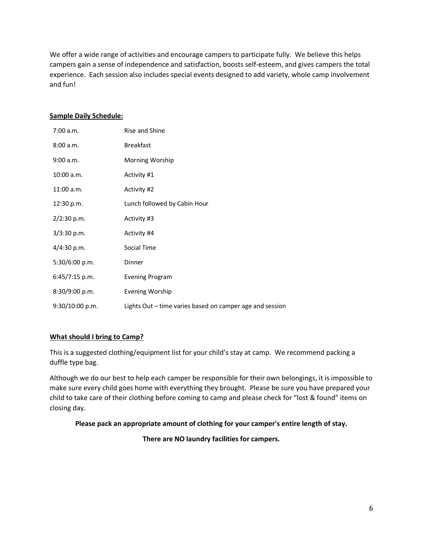We offer a wide range of activities and encourage campers to participate fully. We believe this helps campers gain a sense of independence and satisfaction, boosts self-esteem, and gives campers the total experience. Each session also includes special events designed to add variety, whole camp involvement and fun!

### **Sample Daily Schedule:**

| 7:00 a.m.         | Rise and Shine                                           |
|-------------------|----------------------------------------------------------|
| 8:00 a.m.         | <b>Breakfast</b>                                         |
| 9:00 a.m.         | Morning Worship                                          |
| 10:00 a.m.        | Activity #1                                              |
| $11:00$ a.m.      | Activity #2                                              |
| 12:30 p.m.        | Lunch followed by Cabin Hour                             |
| 2/2:30 p.m.       | Activity #3                                              |
| $3/3:30$ p.m.     | Activity #4                                              |
| 4/4:30 p.m.       | Social Time                                              |
| 5:30/6:00 p.m.    | Dinner                                                   |
| 6:45/7:15 p.m.    | Evening Program                                          |
| 8:30/9:00 p.m.    | Evening Worship                                          |
| $9:30/10:00$ p.m. | Lights Out – time varies based on camper age and session |

# **What should I bring to Camp?**

This is a suggested clothing/equipment list for your child's stay at camp. We recommend packing a duffle type bag.

Although we do our best to help each camper be responsible for their own belongings, it is impossible to make sure every child goes home with everything they brought. Please be sure you have prepared your child to take care of their clothing before coming to camp and please check for "lost & found" items on closing day.

# **Please pack an appropriate amount of clothing for your camper's entire length of stay.**

**There are NO laundry facilities for campers.**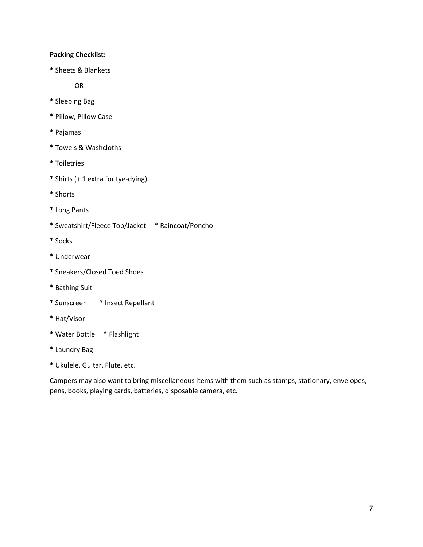## **Packing Checklist:**

\* Sheets & Blankets

OR

- \* Sleeping Bag
- \* Pillow, Pillow Case
- \* Pajamas
- \* Towels & Washcloths
- \* Toiletries
- \* Shirts (+ 1 extra for tye-dying)
- \* Shorts
- \* Long Pants
- \* Sweatshirt/Fleece Top/Jacket \* Raincoat/Poncho
- \* Socks
- \* Underwear
- \* Sneakers/Closed Toed Shoes
- \* Bathing Suit
- \* Sunscreen \* Insect Repellant
- \* Hat/Visor
- \* Water Bottle \* Flashlight
- \* Laundry Bag
- \* Ukulele, Guitar, Flute, etc.

Campers may also want to bring miscellaneous items with them such as stamps, stationary, envelopes, pens, books, playing cards, batteries, disposable camera, etc.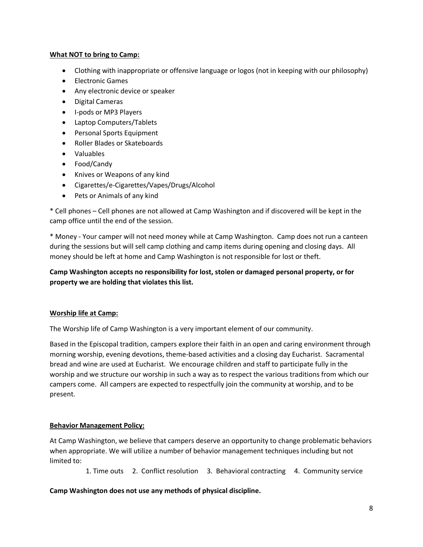## **What NOT to bring to Camp:**

- · Clothing with inappropriate or offensive language or logos (not in keeping with our philosophy)
- · Electronic Games
- · Any electronic device or speaker
- · Digital Cameras
- · I-pods or MP3 Players
- · Laptop Computers/Tablets
- · Personal Sports Equipment
- · Roller Blades or Skateboards
- · Valuables
- · Food/Candy
- · Knives or Weapons of any kind
- · Cigarettes/e-Cigarettes/Vapes/Drugs/Alcohol
- · Pets or Animals of any kind

\* Cell phones – Cell phones are not allowed at Camp Washington and if discovered will be kept in the camp office until the end of the session.

\* Money - Your camper will not need money while at Camp Washington. Camp does not run a canteen during the sessions but will sell camp clothing and camp items during opening and closing days. All money should be left at home and Camp Washington is not responsible for lost or theft.

# **Camp Washington accepts no responsibility for lost, stolen or damaged personal property, or for property we are holding that violates this list.**

# **Worship life at Camp:**

The Worship life of Camp Washington is a very important element of our community.

Based in the Episcopal tradition, campers explore their faith in an open and caring environment through morning worship, evening devotions, theme-based activities and a closing day Eucharist. Sacramental bread and wine are used at Eucharist. We encourage children and staff to participate fully in the worship and we structure our worship in such a way as to respect the various traditions from which our campers come. All campers are expected to respectfully join the community at worship, and to be present.

# **Behavior Management Policy:**

At Camp Washington, we believe that campers deserve an opportunity to change problematic behaviors when appropriate. We will utilize a number of behavior management techniques including but not limited to:

1. Time outs 2. Conflict resolution 3. Behavioral contracting 4. Community service

# **Camp Washington does not use any methods of physical discipline.**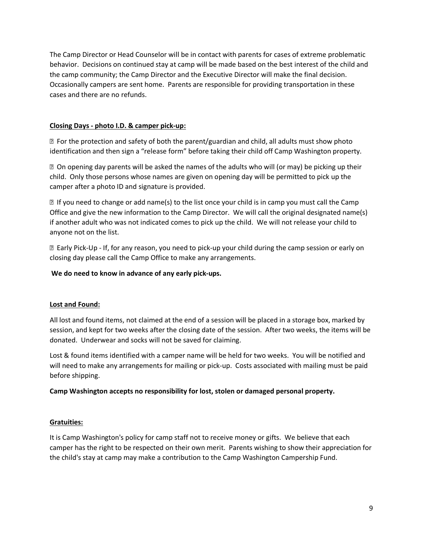The Camp Director or Head Counselor will be in contact with parents for cases of extreme problematic behavior. Decisions on continued stay at camp will be made based on the best interest of the child and the camp community; the Camp Director and the Executive Director will make the final decision. Occasionally campers are sent home. Parents are responsible for providing transportation in these cases and there are no refunds.

## **Closing Days - photo I.D. & camper pick-up:**

 $\mathbb D$  For the protection and safety of both the parent/guardian and child, all adults must show photo identification and then sign a "release form" before taking their child off Camp Washington property.

 On opening day parents will be asked the names of the adults who will (or may) be picking up their child. Only those persons whose names are given on opening day will be permitted to pick up the camper after a photo ID and signature is provided.

 $\mathbb B$  If you need to change or add name(s) to the list once your child is in camp you must call the Camp Office and give the new information to the Camp Director. We will call the original designated name(s) if another adult who was not indicated comes to pick up the child. We will not release your child to anyone not on the list.

 Early Pick-Up - If, for any reason, you need to pick-up your child during the camp session or early on closing day please call the Camp Office to make any arrangements.

## **We do need to know in advance of any early pick-ups.**

#### **Lost and Found:**

All lost and found items, not claimed at the end of a session will be placed in a storage box, marked by session, and kept for two weeks after the closing date of the session. After two weeks, the items will be donated. Underwear and socks will not be saved for claiming.

Lost & found items identified with a camper name will be held for two weeks. You will be notified and will need to make any arrangements for mailing or pick-up. Costs associated with mailing must be paid before shipping.

#### **Camp Washington accepts no responsibility for lost, stolen or damaged personal property.**

#### **Gratuities:**

It is Camp Washington's policy for camp staff not to receive money or gifts. We believe that each camper has the right to be respected on their own merit. Parents wishing to show their appreciation for the child's stay at camp may make a contribution to the Camp Washington Campership Fund.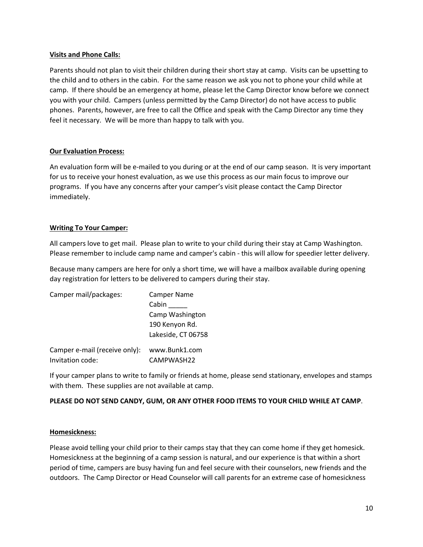#### **Visits and Phone Calls:**

Parents should not plan to visit their children during their short stay at camp. Visits can be upsetting to the child and to others in the cabin. For the same reason we ask you not to phone your child while at camp. If there should be an emergency at home, please let the Camp Director know before we connect you with your child. Campers (unless permitted by the Camp Director) do not have access to public phones. Parents, however, are free to call the Office and speak with the Camp Director any time they feel it necessary. We will be more than happy to talk with you.

## **Our Evaluation Process:**

An evaluation form will be e-mailed to you during or at the end of our camp season. It is very important for us to receive your honest evaluation, as we use this process as our main focus to improve our programs. If you have any concerns after your camper's visit please contact the Camp Director immediately.

## **Writing To Your Camper:**

All campers love to get mail. Please plan to write to your child during their stay at Camp Washington. Please remember to include camp name and camper's cabin - this will allow for speedier letter delivery.

Because many campers are here for only a short time, we will have a mailbox available during opening day registration for letters to be delivered to campers during their stay.

| Camper mail/packages:         | <b>Camper Name</b> |
|-------------------------------|--------------------|
|                               | Cabin              |
|                               | Camp Washington    |
|                               | 190 Kenyon Rd.     |
|                               | Lakeside, CT 06758 |
| Camper e-mail (receive only): | www.Bunk1.com      |
| Invitation code:              | CAMPWASH22         |

If your camper plans to write to family or friends at home, please send stationary, envelopes and stamps with them. These supplies are not available at camp.

#### **PLEASE DO NOT SEND CANDY, GUM, OR ANY OTHER FOOD ITEMS TO YOUR CHILD WHILE AT CAMP**.

#### **Homesickness:**

Please avoid telling your child prior to their camps stay that they can come home if they get homesick. Homesickness at the beginning of a camp session is natural, and our experience is that within a short period of time, campers are busy having fun and feel secure with their counselors, new friends and the outdoors. The Camp Director or Head Counselor will call parents for an extreme case of homesickness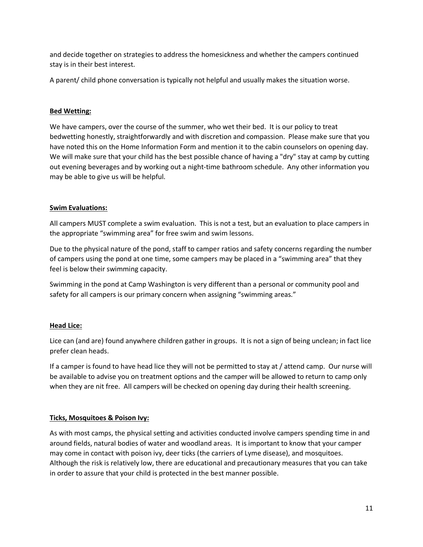and decide together on strategies to address the homesickness and whether the campers continued stay is in their best interest.

A parent/ child phone conversation is typically not helpful and usually makes the situation worse.

### **Bed Wetting:**

We have campers, over the course of the summer, who wet their bed. It is our policy to treat bedwetting honestly, straightforwardly and with discretion and compassion. Please make sure that you have noted this on the Home Information Form and mention it to the cabin counselors on opening day. We will make sure that your child has the best possible chance of having a "dry" stay at camp by cutting out evening beverages and by working out a night-time bathroom schedule. Any other information you may be able to give us will be helpful.

## **Swim Evaluations:**

All campers MUST complete a swim evaluation. This is not a test, but an evaluation to place campers in the appropriate "swimming area" for free swim and swim lessons.

Due to the physical nature of the pond, staff to camper ratios and safety concerns regarding the number of campers using the pond at one time, some campers may be placed in a "swimming area" that they feel is below their swimming capacity.

Swimming in the pond at Camp Washington is very different than a personal or community pool and safety for all campers is our primary concern when assigning "swimming areas."

# **Head Lice:**

Lice can (and are) found anywhere children gather in groups. It is not a sign of being unclean; in fact lice prefer clean heads.

If a camper is found to have head lice they will not be permitted to stay at / attend camp. Our nurse will be available to advise you on treatment options and the camper will be allowed to return to camp only when they are nit free. All campers will be checked on opening day during their health screening.

# **Ticks, Mosquitoes & Poison Ivy:**

As with most camps, the physical setting and activities conducted involve campers spending time in and around fields, natural bodies of water and woodland areas. It is important to know that your camper may come in contact with poison ivy, deer ticks (the carriers of Lyme disease), and mosquitoes. Although the risk is relatively low, there are educational and precautionary measures that you can take in order to assure that your child is protected in the best manner possible.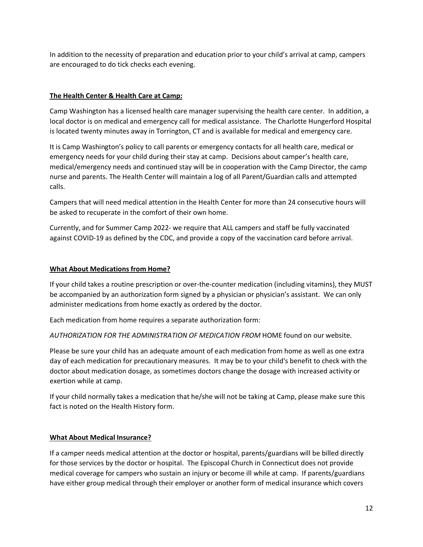In addition to the necessity of preparation and education prior to your child's arrival at camp, campers are encouraged to do tick checks each evening.

## **The Health Center & Health Care at Camp:**

Camp Washington has a licensed health care manager supervising the health care center. In addition, a local doctor is on medical and emergency call for medical assistance. The Charlotte Hungerford Hospital is located twenty minutes away in Torrington, CT and is available for medical and emergency care.

It is Camp Washington's policy to call parents or emergency contacts for all health care, medical or emergency needs for your child during their stay at camp. Decisions about camper's health care, medical/emergency needs and continued stay will be in cooperation with the Camp Director, the camp nurse and parents. The Health Center will maintain a log of all Parent/Guardian calls and attempted calls.

Campers that will need medical attention in the Health Center for more than 24 consecutive hours will be asked to recuperate in the comfort of their own home.

Currently, and for Summer Camp 2022- we require that ALL campers and staff be fully vaccinated against COVID-19 as defined by the CDC, and provide a copy of the vaccination card before arrival.

#### **What About Medications from Home?**

If your child takes a routine prescription or over-the-counter medication (including vitamins), they MUST be accompanied by an authorization form signed by a physician or physician's assistant. We can only administer medications from home exactly as ordered by the doctor.

Each medication from home requires a separate authorization form:

*AUTHORIZATION FOR THE ADMINISTRATION OF MEDICATION FROM* HOME found on our website.

Please be sure your child has an adequate amount of each medication from home as well as one extra day of each medication for precautionary measures. It may be to your child's benefit to check with the doctor about medication dosage, as sometimes doctors change the dosage with increased activity or exertion while at camp.

If your child normally takes a medication that he/she will not be taking at Camp, please make sure this fact is noted on the Health History form.

#### **What About Medical Insurance?**

If a camper needs medical attention at the doctor or hospital, parents/guardians will be billed directly for those services by the doctor or hospital. The Episcopal Church in Connecticut does not provide medical coverage for campers who sustain an injury or become ill while at camp. If parents/guardians have either group medical through their employer or another form of medical insurance which covers